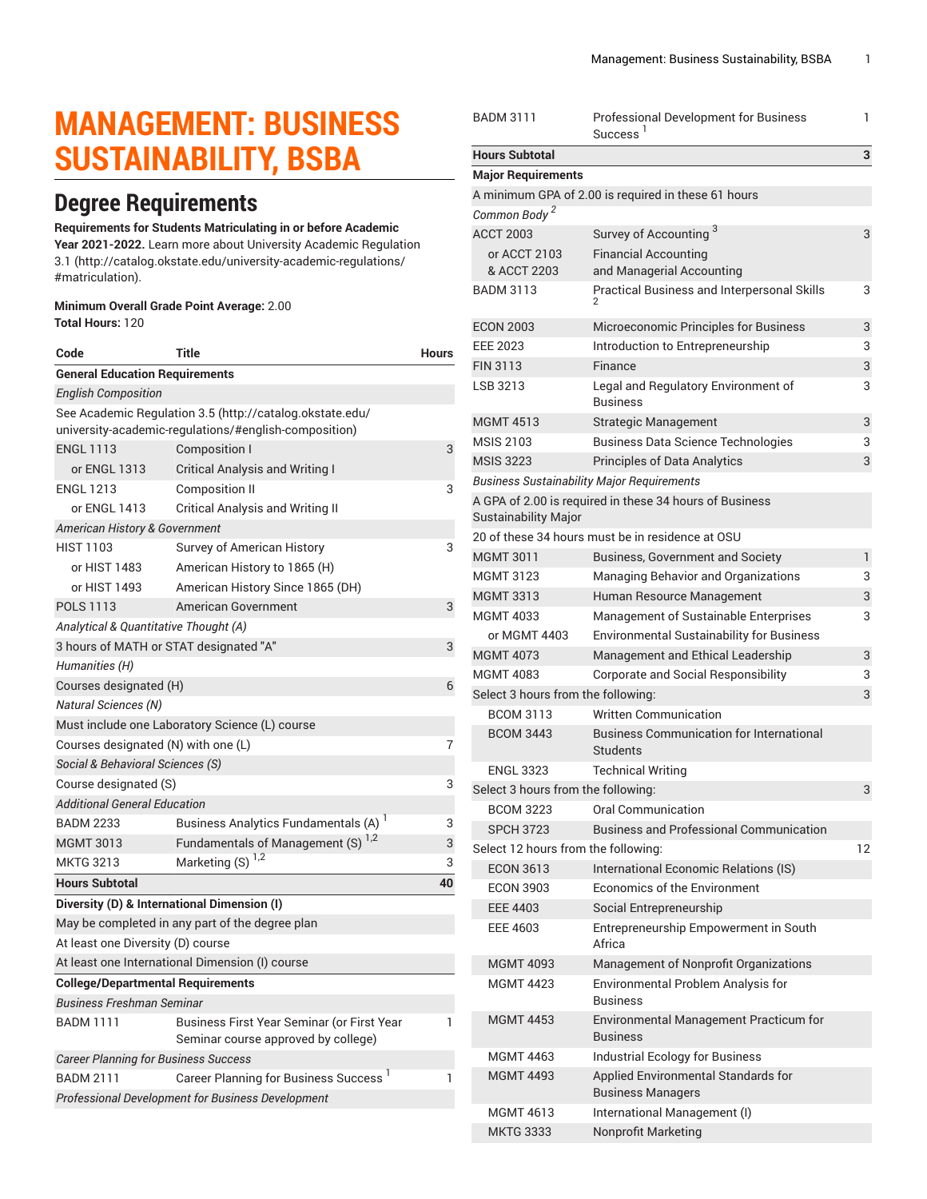# **MANAGEMENT: BUSINESS SUSTAINABILITY, BSBA**

# **Degree Requirements**

#### **Requirements for Students Matriculating in or before Academic**

**Year 2021-2022.** Learn more about University Academic [Regulation](http://catalog.okstate.edu/university-academic-regulations/#matriculation) [3.1](http://catalog.okstate.edu/university-academic-regulations/#matriculation) ([http://catalog.okstate.edu/university-academic-regulations/](http://catalog.okstate.edu/university-academic-regulations/#matriculation) [#matriculation\)](http://catalog.okstate.edu/university-academic-regulations/#matriculation).

#### **Minimum Overall Grade Point Average:** 2.00 **Total Hours:** 120

| Code                                                                                                              | Title                                                                             | <b>Hours</b> |  |  |
|-------------------------------------------------------------------------------------------------------------------|-----------------------------------------------------------------------------------|--------------|--|--|
| <b>General Education Requirements</b>                                                                             |                                                                                   |              |  |  |
| <b>English Composition</b>                                                                                        |                                                                                   |              |  |  |
| See Academic Regulation 3.5 (http://catalog.okstate.edu/<br>university-academic-regulations/#english-composition) |                                                                                   |              |  |  |
| <b>ENGL 1113</b>                                                                                                  | Composition I                                                                     | 3            |  |  |
| or ENGL 1313                                                                                                      | <b>Critical Analysis and Writing I</b>                                            |              |  |  |
| <b>ENGL 1213</b>                                                                                                  | <b>Composition II</b>                                                             | 3            |  |  |
| or ENGL 1413                                                                                                      | <b>Critical Analysis and Writing II</b>                                           |              |  |  |
| American History & Government                                                                                     |                                                                                   |              |  |  |
| <b>HIST 1103</b>                                                                                                  | Survey of American History                                                        | 3            |  |  |
| or HIST 1483                                                                                                      | American History to 1865 (H)                                                      |              |  |  |
| or HIST 1493                                                                                                      | American History Since 1865 (DH)                                                  |              |  |  |
| POLS 1113                                                                                                         | American Government                                                               | 3            |  |  |
| Analytical & Quantitative Thought (A)                                                                             |                                                                                   |              |  |  |
| 3 hours of MATH or STAT designated "A"                                                                            |                                                                                   |              |  |  |
| Humanities (H)                                                                                                    |                                                                                   |              |  |  |
| Courses designated (H)                                                                                            |                                                                                   |              |  |  |
| <b>Natural Sciences (N)</b>                                                                                       |                                                                                   |              |  |  |
| Must include one Laboratory Science (L) course                                                                    |                                                                                   |              |  |  |
| Courses designated (N) with one (L)                                                                               |                                                                                   |              |  |  |
| Social & Behavioral Sciences (S)                                                                                  |                                                                                   |              |  |  |
| Course designated (S)                                                                                             |                                                                                   | 3            |  |  |
| <b>Additional General Education</b>                                                                               |                                                                                   |              |  |  |
| <b>BADM 2233</b>                                                                                                  | Business Analytics Fundamentals (A) <sup>1</sup>                                  | 3            |  |  |
| <b>MGMT 3013</b>                                                                                                  | Fundamentals of Management (S) <sup>1,2</sup>                                     | 3            |  |  |
| <b>MKTG 3213</b>                                                                                                  | Marketing (S)                                                                     | 3            |  |  |
| <b>Hours Subtotal</b>                                                                                             |                                                                                   | 40           |  |  |
| Diversity (D) & International Dimension (I)                                                                       |                                                                                   |              |  |  |
|                                                                                                                   | May be completed in any part of the degree plan                                   |              |  |  |
| At least one Diversity (D) course                                                                                 |                                                                                   |              |  |  |
| At least one International Dimension (I) course                                                                   |                                                                                   |              |  |  |
| <b>College/Departmental Requirements</b>                                                                          |                                                                                   |              |  |  |
| <b>Business Freshman Seminar</b>                                                                                  |                                                                                   |              |  |  |
| <b>BADM 1111</b>                                                                                                  | Business First Year Seminar (or First Year<br>Seminar course approved by college) | 1            |  |  |
| <b>Career Planning for Business Success</b>                                                                       |                                                                                   |              |  |  |
| <b>BADM 2111</b>                                                                                                  | Career Planning for Business Success <sup>1</sup>                                 | 1            |  |  |
| <b>Professional Development for Business Development</b>                                                          |                                                                                   |              |  |  |
|                                                                                                                   |                                                                                   |              |  |  |

| <b>BADM 3111</b>                          | Professional Development for Business<br>Success <sup>1</sup>      | 1 |  |  |
|-------------------------------------------|--------------------------------------------------------------------|---|--|--|
| <b>Hours Subtotal</b>                     |                                                                    | 3 |  |  |
| <b>Major Requirements</b>                 |                                                                    |   |  |  |
|                                           | A minimum GPA of 2.00 is required in these 61 hours                |   |  |  |
| Common Body <sup>2</sup>                  |                                                                    |   |  |  |
| <b>ACCT 2003</b>                          | Survey of Accounting <sup>3</sup>                                  | 3 |  |  |
| or ACCT 2103                              | <b>Financial Accounting</b>                                        |   |  |  |
| & ACCT 2203                               | and Managerial Accounting                                          |   |  |  |
| <b>BADM 3113</b>                          | Practical Business and Interpersonal Skills<br>$\overline{c}$      | 3 |  |  |
| <b>ECON 2003</b>                          | Microeconomic Principles for Business                              | 3 |  |  |
| <b>EEE 2023</b>                           | Introduction to Entrepreneurship                                   | 3 |  |  |
| <b>FIN 3113</b>                           | Finance                                                            | 3 |  |  |
| LSB 3213                                  | Legal and Regulatory Environment of<br><b>Business</b>             | 3 |  |  |
| <b>MGMT 4513</b>                          | <b>Strategic Management</b>                                        | 3 |  |  |
| <b>MSIS 2103</b>                          | <b>Business Data Science Technologies</b>                          | 3 |  |  |
| <b>MSIS 3223</b>                          | <b>Principles of Data Analytics</b>                                | 3 |  |  |
|                                           | <b>Business Sustainability Major Requirements</b>                  |   |  |  |
| Sustainability Major                      | A GPA of 2.00 is required in these 34 hours of Business            |   |  |  |
|                                           | 20 of these 34 hours must be in residence at OSU                   |   |  |  |
| MGMT 3011                                 | <b>Business, Government and Society</b>                            | 1 |  |  |
| <b>MGMT 3123</b>                          | Managing Behavior and Organizations                                | 3 |  |  |
| <b>MGMT 3313</b>                          | Human Resource Management                                          | 3 |  |  |
| <b>MGMT 4033</b>                          | Management of Sustainable Enterprises                              | 3 |  |  |
| or MGMT 4403                              | <b>Environmental Sustainability for Business</b>                   |   |  |  |
| <b>MGMT 4073</b>                          | Management and Ethical Leadership                                  | 3 |  |  |
| <b>MGMT 4083</b>                          | <b>Corporate and Social Responsibility</b>                         | 3 |  |  |
|                                           | Select 3 hours from the following:                                 |   |  |  |
| <b>BCOM 3113</b>                          | <b>Written Communication</b>                                       |   |  |  |
| <b>BCOM 3443</b>                          | <b>Business Communication for International</b><br><b>Students</b> |   |  |  |
| <b>ENGL 3323</b>                          | <b>Technical Writing</b>                                           |   |  |  |
| Select 3 hours from the following:        |                                                                    | 3 |  |  |
| <b>BCOM 3223</b>                          | <b>Oral Communication</b>                                          |   |  |  |
| <b>SPCH 3723</b>                          | <b>Business and Professional Communication</b>                     |   |  |  |
| 12<br>Select 12 hours from the following: |                                                                    |   |  |  |
| <b>ECON 3613</b>                          | International Economic Relations (IS)                              |   |  |  |
| <b>ECON 3903</b>                          | Economics of the Environment                                       |   |  |  |
| <b>EEE 4403</b>                           | Social Entrepreneurship                                            |   |  |  |
| EEE 4603                                  | Entrepreneurship Empowerment in South<br>Africa                    |   |  |  |
| <b>MGMT 4093</b>                          | Management of Nonprofit Organizations                              |   |  |  |
| MGMT 4423                                 | Environmental Problem Analysis for<br><b>Business</b>              |   |  |  |
| <b>MGMT 4453</b>                          | Environmental Management Practicum for<br><b>Business</b>          |   |  |  |
| <b>MGMT 4463</b>                          | <b>Industrial Ecology for Business</b>                             |   |  |  |
| <b>MGMT 4493</b>                          | Applied Environmental Standards for<br><b>Business Managers</b>    |   |  |  |
| <b>MGMT 4613</b>                          | International Management (I)                                       |   |  |  |
| <b>MKTG 3333</b>                          | Nonprofit Marketing                                                |   |  |  |